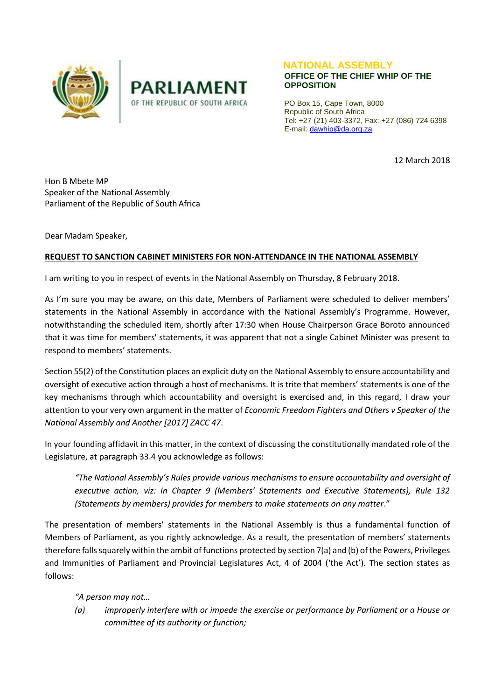



## **NATIONAL ASSEMBLY OFFICE OF THE CHIEF WHIP OF THE OPPOSITION**

PO Box 15, Cape Town, 8000 Republic of South Africa Tel: +27 (21) 403-3372, Fax: +27 (086) 724 6398 E-mail[: dawhip@da.org.za](mailto:dawhip@da.org.za)

12 March 2018

Hon B Mbete MP Speaker of the National Assembly Parliament of the Republic of South Africa

Dear Madam Speaker,

## **REQUEST TO SANCTION CABINET MINISTERS FOR NON-ATTENDANCE IN THE NATIONAL ASSEMBLY**

I am writing to you in respect of events in the National Assembly on Thursday, 8 February 2018.

As I'm sure you may be aware, on this date, Members of Parliament were scheduled to deliver members' statements in the National Assembly in accordance with the National Assembly's Programme. However, notwithstanding the scheduled item, shortly after 17:30 when House Chairperson Grace Boroto announced that it was time for members' statements, it was apparent that not a single Cabinet Minister was present to respond to members' statements.

Section 55(2) of the Constitution places an explicit duty on the National Assembly to ensure accountability and oversight of executive action through a host of mechanisms. It is trite that members' statements is one of the key mechanisms through which accountability and oversight is exercised and, in this regard, I draw your attention to your very own argument in the matter of *Economic Freedom Fighters and Others v Speaker of the National Assembly and Another [2017] ZACC 47*.

In your founding affidavit in this matter, in the context of discussing the constitutionally mandated role of the Legislature, at paragraph 33.4 you acknowledge as follows:

*"The National Assembly's Rules provide various mechanisms to ensure accountability and oversight of executive action, viz: In Chapter 9 (Members' Statements and Executive Statements), Rule 132 (Statements by members) provides for members to make statements on any matter*."

The presentation of members' statements in the National Assembly is thus a fundamental function of Members of Parliament, as you rightly acknowledge. As a result, the presentation of members' statements therefore falls squarely within the ambit of functions protected by section 7(a) and (b) of the Powers, Privileges and Immunities of Parliament and Provincial Legislatures Act, 4 of 2004 ('the Act'). The section states as follows:

*"A person may not…* 

*(a) improperly interfere with or impede the exercise or performance by Parliament or a House or committee of its authority or function;*